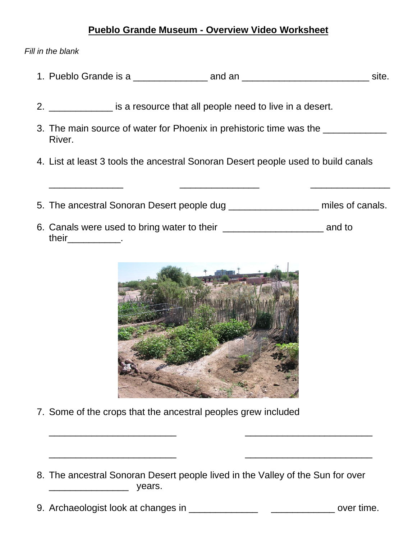## **Pueblo Grande Museum - Overview Video Worksheet**

*Fill in the blank*

- 1. Pueblo Grande is a contract and an and an an and site.
- 2. \_\_\_\_\_\_\_\_\_\_\_\_\_\_ is a resource that all people need to live in a desert.
- 3. The main source of water for Phoenix in prehistoric time was the **wase of the structure** River.
- 4. List at least 3 tools the ancestral Sonoran Desert people used to build canals
- 5. The ancestral Sonoran Desert people dug **Example 10** miles of canals.

\_\_\_\_\_\_\_\_\_\_\_\_\_\_ \_\_\_\_\_\_\_\_\_\_\_\_\_\_\_ \_\_\_\_\_\_\_\_\_\_\_\_\_\_\_

6. Canals were used to bring water to their **Example 20** and to their\_\_\_\_\_\_\_\_\_\_\_\_.



- 7. Some of the crops that the ancestral peoples grew included
- 8. The ancestral Sonoran Desert people lived in the Valley of the Sun for over \_\_\_\_\_\_\_\_\_\_\_\_\_\_\_ years.

9. Archaeologist look at changes in \_\_\_\_\_\_\_\_\_\_\_\_\_ \_\_\_\_\_\_\_\_\_\_\_\_ over time.

\_\_\_\_\_\_\_\_\_\_\_\_\_\_\_\_\_\_\_\_\_\_\_\_

\_\_\_\_\_\_\_\_\_\_\_\_\_\_\_\_\_\_\_\_\_\_\_\_

\_\_\_\_\_\_\_\_\_\_\_\_\_\_\_\_\_\_\_\_\_\_\_\_

\_\_\_\_\_\_\_\_\_\_\_\_\_\_\_\_\_\_\_\_\_\_\_\_